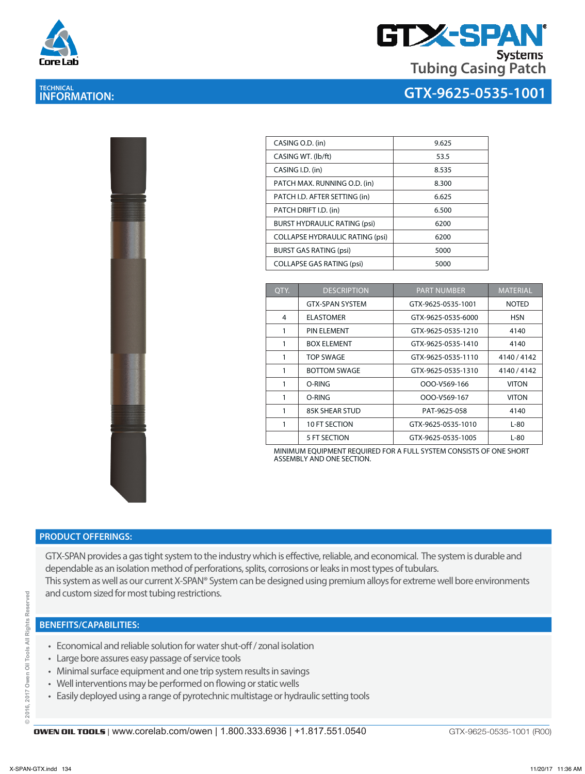

# **TECHNICAL INFORMATION:**



## **GTX-9625-0535-1001**

| 医脑膜炎<br>A<br>t    |  |
|-------------------|--|
| ĭ                 |  |
|                   |  |
| ×<br>g            |  |
| <b>CONTRACTOR</b> |  |
|                   |  |

| CASING O.D. (in)                       | 9.625 |
|----------------------------------------|-------|
| CASING WT. (lb/ft)                     | 53.5  |
| CASING I.D. (in)                       | 8.535 |
| PATCH MAX. RUNNING O.D. (in)           | 8.300 |
| PATCH I.D. AFTER SETTING (in)          | 6.625 |
| PATCH DRIFT I.D. (in)                  | 6.500 |
| <b>BURST HYDRAULIC RATING (psi)</b>    | 6200  |
| <b>COLLAPSE HYDRAULIC RATING (psi)</b> | 6200  |
| <b>BURST GAS RATING (psi)</b>          | 5000  |
| <b>COLLAPSE GAS RATING (psi)</b>       | 5000  |

| QTY. | <b>DESCRIPTION</b>     | <b>PART NUMBER</b> | <b>MATERIAL</b> |
|------|------------------------|--------------------|-----------------|
|      | <b>GTX-SPAN SYSTEM</b> | GTX-9625-0535-1001 | <b>NOTED</b>    |
| 4    | <b>ELASTOMER</b>       | GTX-9625-0535-6000 | <b>HSN</b>      |
| 1    | PIN FI FMFNT           | GTX-9625-0535-1210 | 4140            |
| 1    | <b>BOX ELEMENT</b>     | GTX-9625-0535-1410 | 4140            |
| 1    | <b>TOP SWAGE</b>       | GTX-9625-0535-1110 | 4140/4142       |
| 1    | <b>BOTTOM SWAGE</b>    | GTX-9625-0535-1310 | 4140 / 4142     |
| 1    | O-RING                 | OOO-V569-166       | <b>VITON</b>    |
| 1    | O-RING                 | OOO-V569-167       | <b>VITON</b>    |
| 1    | <b>85K SHEAR STUD</b>  | PAT-9625-058       | 4140            |
| 1    | 10 FT SECTION          | GTX-9625-0535-1010 | L-80            |
|      | 5 FT SECTION           | GTX-9625-0535-1005 | $L-80$          |

MINIMUM EQUIPMENT REQUIRED FOR A FULL SYSTEM CONSISTS OF ONE SHORT ASSEMBLY AND ONE SECTION.

#### **PRODUCT OFFERINGS:**

GTX-SPAN provides a gas tight system to the industry which is effective, reliable, and economical. The system is durable and dependable as an isolation method of perforations, splits, corrosions or leaks in most types of tubulars. This system as well as our current X-SPAN® System can be designed using premium alloys for extreme well bore environments and custom sized for most tubing restrictions.

### **BENEFITS/CAPABILITIES:**

- Economical and reliable solution for water shut-off / zonal isolation
- Large bore assures easy passage of service tools
- Minimal surface equipment and one trip system results in savings
- Well interventions may be performed on flowing or static wells
- Easily deployed using a range of pyrotechnic multistage or hydraulic setting tools

GTX-9625-0535-1001 (R00)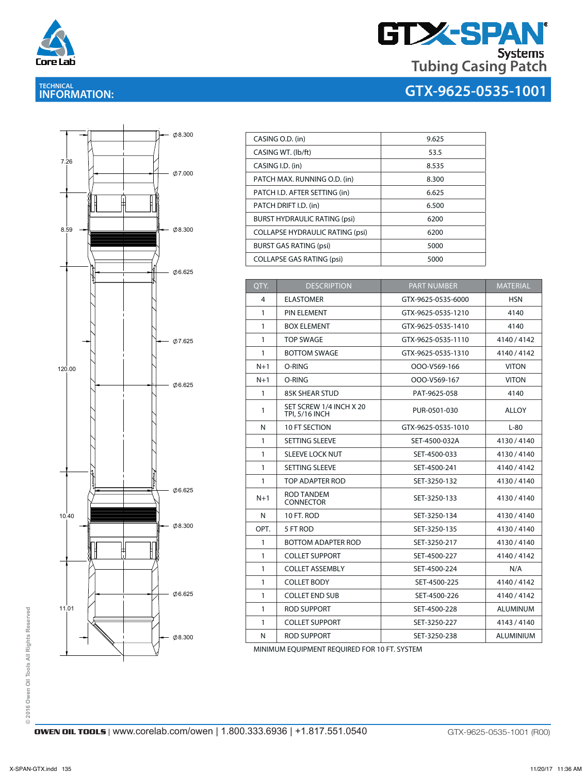

# **GTX-SPAN® Tubing Casing Patch**

**GTX-9625-0535-1001**

# **TECHNICAL INFORMATION:**



| CASING O.D. (in)                       | 9.625 |
|----------------------------------------|-------|
| CASING WT. (lb/ft)                     | 53.5  |
| CASING I.D. (in)                       | 8.535 |
| PATCH MAX. RUNNING O.D. (in)           | 8.300 |
| PATCH I.D. AFTER SETTING (in)          | 6.625 |
| PATCH DRIFT I.D. (in)                  | 6.500 |
| <b>BURST HYDRAULIC RATING (psi)</b>    | 6200  |
| <b>COLLAPSE HYDRAULIC RATING (psi)</b> | 6200  |
| <b>BURST GAS RATING (psi)</b>          | 5000  |
| <b>COLLAPSE GAS RATING (psi)</b>       | 5000  |

1 PIN ELEMENT GTX-9625-0535-1210 4140

| OTY.         | <b>DESCRIPTION</b>                               | <b>PART NUMBER</b> | <b>MATERIAL</b> |
|--------------|--------------------------------------------------|--------------------|-----------------|
| 4            | <b>ELASTOMER</b>                                 | GTX-9625-0535-6000 | <b>HSN</b>      |
| $\mathbf{1}$ | PIN ELEMENT                                      | GTX-9625-0535-1210 | 4140            |
| 1            | <b>BOX ELEMENT</b>                               | GTX-9625-0535-1410 | 4140            |
| 1            | <b>TOP SWAGE</b>                                 | GTX-9625-0535-1110 | 4140 / 4142     |
| $\mathbf{1}$ | <b>BOTTOM SWAGE</b>                              | GTX-9625-0535-1310 | 4140 / 4142     |
| $N+1$        | O-RING                                           | OOO-V569-166       | <b>VITON</b>    |
| $N+1$        | O-RING                                           | OOO-V569-167       | <b>VITON</b>    |
| $\mathbf{1}$ | <b>85K SHEAR STUD</b>                            | PAT-9625-058       | 4140            |
| 1            | SET SCREW 1/4 INCH X 20<br><b>TPI, 5/16 INCH</b> | PUR-0501-030       | <b>ALLOY</b>    |
| N            | 10 FT SECTION                                    | GTX-9625-0535-1010 | $L-80$          |
| 1            | <b>SETTING SLEEVE</b>                            | SET-4500-032A      | 4130/4140       |
| $\mathbf{1}$ | <b>SLEEVE LOCK NUT</b>                           | SET-4500-033       | 4130/4140       |
| $\mathbf{1}$ | SETTING SLEEVE                                   | SET-4500-241       | 4140 / 4142     |
| 1            | TOP ADAPTER ROD                                  | SET-3250-132       | 4130/4140       |
| $N+1$        | ROD TANDEM<br><b>CONNECTOR</b>                   | SET-3250-133       | 4130/4140       |
| N            | 10 FT. ROD                                       | SET-3250-134       | 4130/4140       |
| OPT.         | 5 FT ROD                                         | SET-3250-135       | 4130/4140       |
| $\mathbf{1}$ | BOTTOM ADAPTER ROD                               | SET-3250-217       | 4130/4140       |
| 1            | <b>COLLET SUPPORT</b>                            | SET-4500-227       | 4140 / 4142     |
| 1            | <b>COLLET ASSEMBLY</b>                           | SET-4500-224       | N/A             |
| 1            | <b>COLLET BODY</b>                               | SET-4500-225       | 4140/4142       |
| 1            | <b>COLLET END SUB</b>                            | SET-4500-226       | 4140 / 4142     |
| 1            | <b>ROD SUPPORT</b>                               | SET-4500-228       | <b>ALUMINUM</b> |
| 1            | <b>COLLET SUPPORT</b>                            | SET-3250-227       | 4143 / 4140     |
| N            | ROD SUPPORT                                      | SET-3250-238       | ALUMINIUM       |

MINIMUM EQUIPMENT REQUIRED FOR 10 FT. SYSTEM